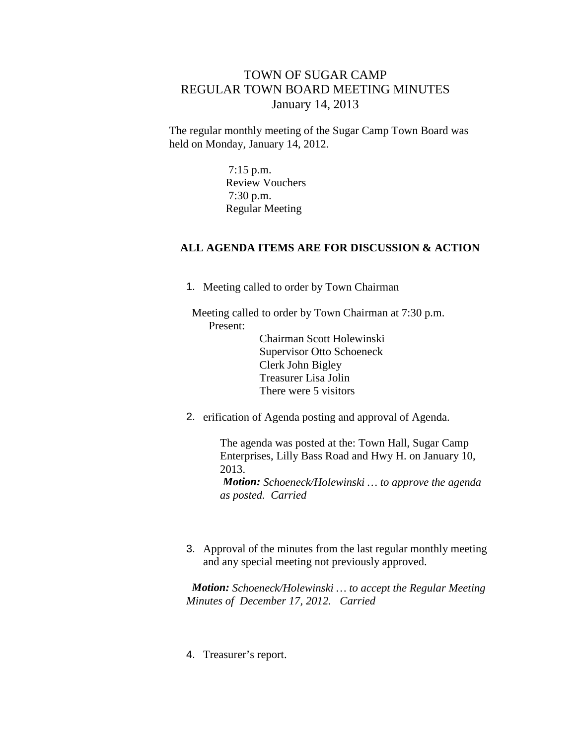## TOWN OF SUGAR CAMP REGULAR TOWN BOARD MEETING MINUTES January 14, 2013

The regular monthly meeting of the Sugar Camp Town Board was held on Monday, January 14, 2012.

> 7:15 p.m. Review Vouchers 7:30 p.m. Regular Meeting

## **ALL AGENDA ITEMS ARE FOR DISCUSSION & ACTION**

1. Meeting called to order by Town Chairman

Meeting called to order by Town Chairman at 7:30 p.m. Present:

Chairman Scott Holewinski Supervisor Otto Schoeneck Clerk John Bigley Treasurer Lisa Jolin There were 5 visitors

2. erification of Agenda posting and approval of Agenda.

The agenda was posted at the: Town Hall, Sugar Camp Enterprises, Lilly Bass Road and Hwy H. on January 10, 2013. *Motion: Schoeneck/Holewinski … to approve the agenda as posted. Carried*

3. Approval of the minutes from the last regular monthly meeting and any special meeting not previously approved.

*Motion: Schoeneck/Holewinski … to accept the Regular Meeting Minutes of December 17, 2012. Carried*

4. Treasurer's report.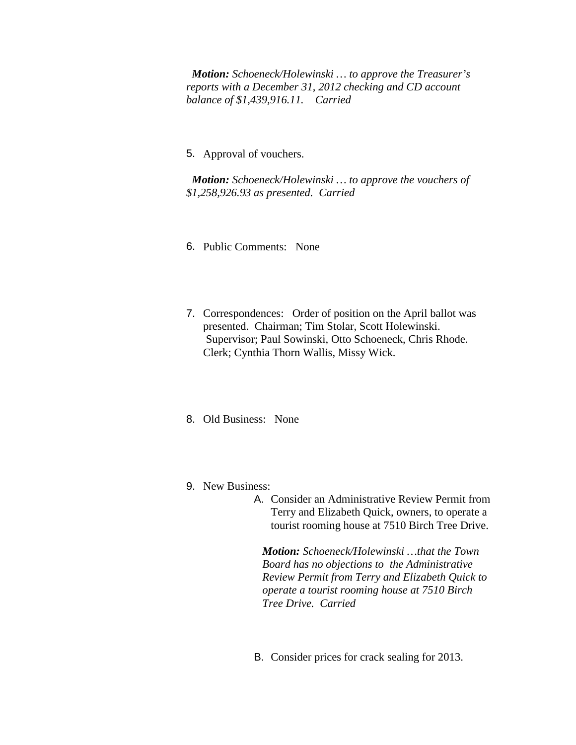*Motion: Schoeneck/Holewinski … to approve the Treasurer's reports with a December 31, 2012 checking and CD account balance of \$1,439,916.11. Carried*

5. Approval of vouchers.

*Motion: Schoeneck/Holewinski … to approve the vouchers of \$1,258,926.93 as presented. Carried*

- 6. Public Comments: None
- 7. Correspondences: Order of position on the April ballot was presented. Chairman; Tim Stolar, Scott Holewinski. Supervisor; Paul Sowinski, Otto Schoeneck, Chris Rhode. Clerk; Cynthia Thorn Wallis, Missy Wick.
- 8. Old Business: None
- 9. New Business:
	- A. Consider an Administrative Review Permit from Terry and Elizabeth Quick, owners, to operate a tourist rooming house at 7510 Birch Tree Drive.

*Motion: Schoeneck/Holewinski …that the Town Board has no objections to the Administrative Review Permit from Terry and Elizabeth Quick to operate a tourist rooming house at 7510 Birch Tree Drive. Carried*

B. Consider prices for crack sealing for 2013.